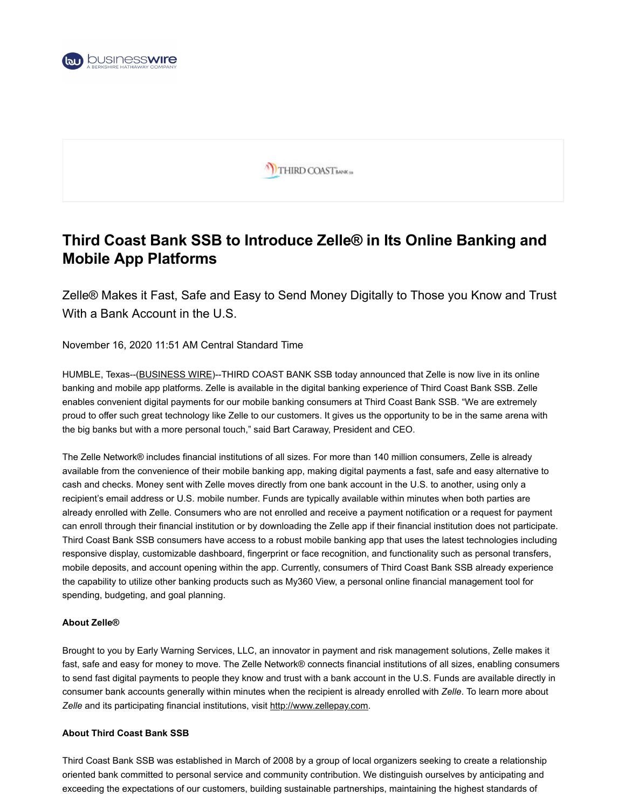



# **Third Coast Bank SSB to Introduce Zelle® in Its Online Banking and Mobile App Platforms**

Zelle® Makes it Fast, Safe and Easy to Send Money Digitally to Those you Know and Trust With a Bank Account in the U.S.

November 16, 2020 11:51 AM Central Standard Time

HUMBLE, Texas--[\(BUSINESS WIRE](https://www.businesswire.com/))--THIRD COAST BANK SSB today announced that Zelle is now live in its online banking and mobile app platforms. Zelle is available in the digital banking experience of Third Coast Bank SSB. Zelle enables convenient digital payments for our mobile banking consumers at Third Coast Bank SSB. "We are extremely proud to offer such great technology like Zelle to our customers. It gives us the opportunity to be in the same arena with the big banks but with a more personal touch," said Bart Caraway, President and CEO.

The Zelle Network® includes financial institutions of all sizes. For more than 140 million consumers, Zelle is already available from the convenience of their mobile banking app, making digital payments a fast, safe and easy alternative to cash and checks. Money sent with Zelle moves directly from one bank account in the U.S. to another, using only a recipient's email address or U.S. mobile number. Funds are typically available within minutes when both parties are already enrolled with Zelle. Consumers who are not enrolled and receive a payment notification or a request for payment can enroll through their financial institution or by downloading the Zelle app if their financial institution does not participate. Third Coast Bank SSB consumers have access to a robust mobile banking app that uses the latest technologies including responsive display, customizable dashboard, fingerprint or face recognition, and functionality such as personal transfers, mobile deposits, and account opening within the app. Currently, consumers of Third Coast Bank SSB already experience the capability to utilize other banking products such as My360 View, a personal online financial management tool for spending, budgeting, and goal planning.

#### **About Zelle®**

Brought to you by Early Warning Services, LLC, an innovator in payment and risk management solutions, Zelle makes it fast, safe and easy for money to move. The Zelle Network® connects financial institutions of all sizes, enabling consumers to send fast digital payments to people they know and trust with a bank account in the U.S. Funds are available directly in consumer bank accounts generally within minutes when the recipient is already enrolled with *Zelle*. To learn more about *Zelle* and its participating financial institutions, visit [http://www.zellepay.com.](https://cts.businesswire.com/ct/CT?id=smartlink&url=http%3A%2F%2Fwww.zellepay.com&esheet=52328713&newsitemid=20201116005920&lan=en-US&anchor=http%3A%2F%2Fwww.zellepay.com&index=1&md5=ad42ab7af12098e1c3da28ff8d34600a)

#### **About Third Coast Bank SSB**

Third Coast Bank SSB was established in March of 2008 by a group of local organizers seeking to create a relationship oriented bank committed to personal service and community contribution. We distinguish ourselves by anticipating and exceeding the expectations of our customers, building sustainable partnerships, maintaining the highest standards of